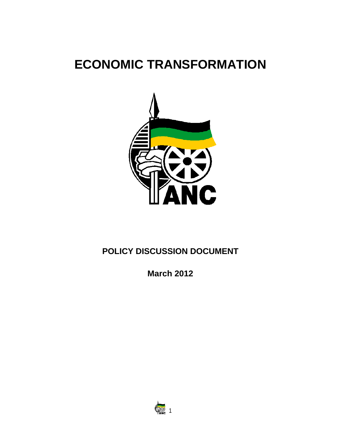# **ECONOMIC TRANSFORMATION**



## **POLICY DISCUSSION DOCUMENT**

**March 2012**

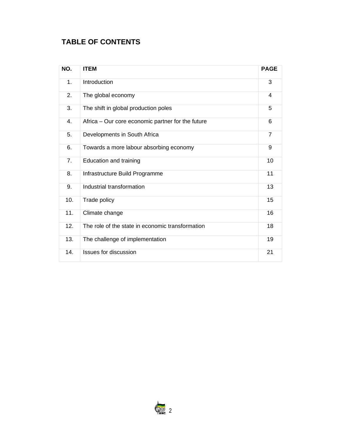## **TABLE OF CONTENTS**

| NO.           | <b>ITEM</b>                                       | <b>PAGE</b>    |
|---------------|---------------------------------------------------|----------------|
| $\mathbf 1$ . | Introduction                                      | 3              |
| 2.            | The global economy                                | 4              |
| 3.            | The shift in global production poles              | 5              |
| 4.            | Africa - Our core economic partner for the future | 6              |
| 5.            | Developments in South Africa                      | $\overline{7}$ |
| 6.            | Towards a more labour absorbing economy           | 9              |
| 7.            | Education and training                            | 10             |
| 8.            | Infrastructure Build Programme                    | 11             |
| 9.            | Industrial transformation                         | 13             |
| 10.           | Trade policy                                      | 15             |
| 11.           | Climate change                                    | 16             |
| 12.           | The role of the state in economic transformation  | 18             |
| 13.           | The challenge of implementation                   | 19             |
| 14.           | <b>Issues for discussion</b>                      | 21             |

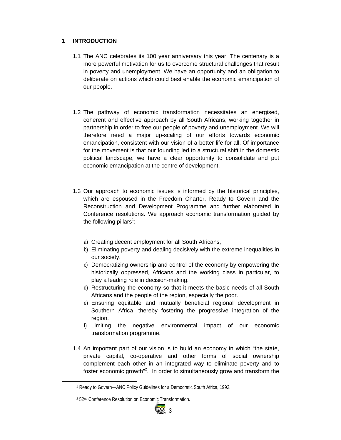#### **1 INTRODUCTION**

- 1.1 The ANC celebrates its 100 year anniversary this year. The centenary is a more powerful motivation for us to overcome structural challenges that result in poverty and unemployment. We have an opportunity and an obligation to deliberate on actions which could best enable the economic emancipation of our people.
- 1.2 The pathway of economic transformation necessitates an energised, coherent and effective approach by all South Africans, working together in partnership in order to free our people of poverty and unemployment. We will therefore need a major up-scaling of our efforts towards economic emancipation, consistent with our vision of a better life for all. Of importance for the movement is that our founding led to a structural shift in the domestic political landscape, we have a clear opportunity to consolidate and put economic emancipation at the centre of development.
- 1.3 Our approach to economic issues is informed by the historical principles, which are espoused in the Freedom Charter, Ready to Govern and the Reconstruction and Development Programme and further elaborated in Conference resolutions. We approach economic transformation guided by the following pillars<sup>1</sup>:
	- a) Creating decent employment for all South Africans,
	- b) Eliminating poverty and dealing decisively with the extreme inequalities in our society.
	- c) Democratizing ownership and control of the economy by empowering the historically oppressed, Africans and the working class in particular, to play a leading role in decision-making.
	- d) Restructuring the economy so that it meets the basic needs of all South Africans and the people of the region, especially the poor.
	- e) Ensuring equitable and mutually beneficial regional development in Southern Africa, thereby fostering the progressive integration of the region.
	- f) Limiting the negative environmental impact of our economic transformation programme.
- 1.4 An important part of our vision is to build an economy in which "the state, private capital, co-operative and other forms of social ownership complement each other in an integrated way to eliminate poverty and to foster economic growth<sup>"2</sup>. In order to simultaneously grow and transform the



<sup>1</sup> Ready to Govern—ANC Policy Guidelines for a Democratic South Africa, 1992.

<sup>&</sup>lt;sup>2</sup> 52<sup>nd</sup> Conference Resolution on Economic Transformation.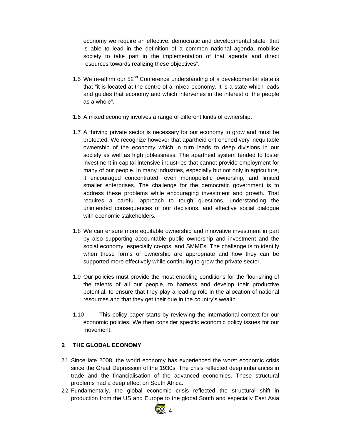economy we require an effective, democratic and developmental state "that is able to lead in the definition of a common national agenda, mobilise society to take part in the implementation of that agenda and direct resources towards realizing these objectives".

- 1.5 We re-affirm our  $52<sup>nd</sup>$  Conference understanding of a developmental state is that "it is located at the centre of a mixed economy. It is a state which leads and guides that economy and which intervenes in the interest of the people as a whole".
- 1.6 A mixed economy involves a range of different kinds of ownership.
- 1.7 A thriving private sector is necessary for our economy to grow and must be protected. We recognize however that apartheid entrenched very inequitable ownership of the economy which in turn leads to deep divisions in our society as well as high joblessness. The apartheid system tended to foster investment in capital-intensive industries that cannot provide employment for many of our people. In many industries, especially but not only in agriculture, it encouraged concentrated, even monopolistic ownership, and limited smaller enterprises. The challenge for the democratic government is to address these problems while encouraging investment and growth. That requires a careful approach to tough questions, understanding the unintended consequences of our decisions, and effective social dialogue with economic stakeholders.
- 1.8 We can ensure more equitable ownership and innovative investment in part by also supporting accountable public ownership and investment and the social economy, especially co-ops, and SMMEs. The challenge is to identify when these forms of ownership are appropriate and how they can be supported more effectively while continuing to grow the private sector.
- 1.9 Our policies must provide the most enabling conditions for the flourishing of the talents of all our people, to harness and develop their productive potential, to ensure that they play a leading role in the allocation of national resources and that they get their due in the country's wealth.
- 1.10 This policy paper starts by reviewing the international context for our economic policies. We then consider specific economic policy issues for our movement.

#### **2 THE GLOBAL ECONOMY**

- 2.1 Since late 2008, the world economy has experienced the worst economic crisis since the Great Depression of the 1930s. The crisis reflected deep imbalances in trade and the financialisation of the advanced economies. These structural problems had a deep effect on South Africa.
- 2.2 Fundamentally, the global economic crisis reflected the structural shift in production from the US and Europe to the global South and especially East Asia

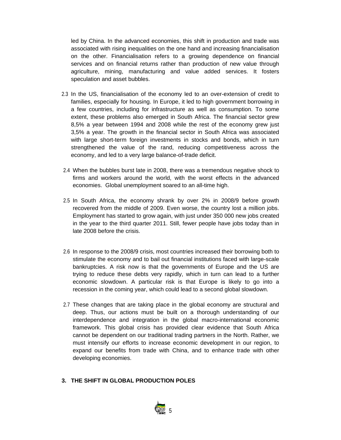led by China. In the advanced economies, this shift in production and trade was associated with rising inequalities on the one hand and increasing financialisation on the other. Financialisation refers to a growing dependence on financial services and on financial returns rather than production of new value through agriculture, mining, manufacturing and value added services. It fosters speculation and asset bubbles.

- 2.3 In the US, financialisation of the economy led to an over-extension of credit to families, especially for housing. In Europe, it led to high government borrowing in a few countries, including for infrastructure as well as consumption. To some extent, these problems also emerged in South Africa. The financial sector grew 8,5% a year between 1994 and 2008 while the rest of the economy grew just 3,5% a year. The growth in the financial sector in South Africa was associated with large short-term foreign investments in stocks and bonds, which in turn strengthened the value of the rand, reducing competitiveness across the economy, and led to a very large balance-of-trade deficit.
- 2.4 When the bubbles burst late in 2008, there was a tremendous negative shock to firms and workers around the world, with the worst effects in the advanced economies. Global unemployment soared to an all-time high.
- 2.5 In South Africa, the economy shrank by over 2% in 2008/9 before growth recovered from the middle of 2009. Even worse, the country lost a million jobs. Employment has started to grow again, with just under 350 000 new jobs created in the year to the third quarter 2011. Still, fewer people have jobs today than in late 2008 before the crisis.
- 2.6 In response to the 2008/9 crisis, most countries increased their borrowing both to stimulate the economy and to bail out financial institutions faced with large-scale bankruptcies. A risk now is that the governments of Europe and the US are trying to reduce these debts very rapidly, which in turn can lead to a further economic slowdown. A particular risk is that Europe is likely to go into a recession in the coming year, which could lead to a second global slowdown.
- 2.7 These changes that are taking place in the global economy are structural and deep. Thus, our actions must be built on a thorough understanding of our interdependence and integration in the global macro-international economic framework. This global crisis has provided clear evidence that South Africa cannot be dependent on our traditional trading partners in the North. Rather, we must intensify our efforts to increase economic development in our region, to expand our benefits from trade with China, and to enhance trade with other developing economies.
- **3. THE SHIFT IN GLOBAL PRODUCTION POLES**

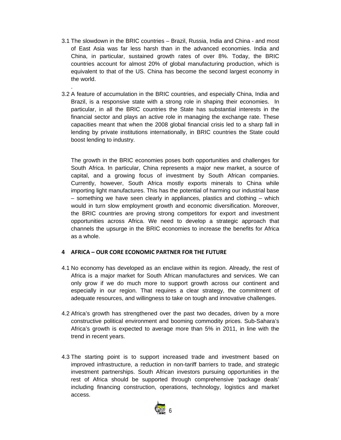3.1 The slowdown in the BRIC countries – Brazil, Russia, India and China - and most of East Asia was far less harsh than in the advanced economies. India and China, in particular, sustained growth rates of over 8%. Today, the BRIC countries account for almost 20% of global manufacturing production, which is equivalent to that of the US. China has become the second largest economy in the world.

.

3.2 A feature of accumulation in the BRIC countries, and especially China, India and Brazil, is a responsive state with a strong role in shaping their economies. In particular, in all the BRIC countries the State has substantial interests in the financial sector and plays an active role in managing the exchange rate. These capacities meant that when the 2008 global financial crisis led to a sharp fall in lending by private institutions internationally, in BRIC countries the State could boost lending to industry.

The growth in the BRIC economies poses both opportunities and challenges for South Africa. In particular, China represents a major new market, a source of capital, and a growing focus of investment by South African companies. Currently, however, South Africa mostly exports minerals to China while importing light manufactures. This has the potential of harming our industrial base – something we have seen clearly in appliances, plastics and clothing – which would in turn slow employment growth and economic diversification. Moreover, the BRIC countries are proving strong competitors for export and investment opportunities across Africa. We need to develop a strategic approach that channels the upsurge in the BRIC economies to increase the benefits for Africa as a whole.

#### **4 AFRICA – OUR CORE ECONOMIC PARTNER FOR THE FUTURE**

- 4.1 No economy has developed as an enclave within its region. Already, the rest of Africa is a major market for South African manufactures and services. We can only grow if we do much more to support growth across our continent and especially in our region. That requires a clear strategy, the commitment of adequate resources, and willingness to take on tough and innovative challenges.
- 4.2 Africa's growth has strengthened over the past two decades, driven by a more constructive political environment and booming commodity prices. Sub-Sahara's Africa's growth is expected to average more than 5% in 2011, in line with the trend in recent years.
- 4.3 The starting point is to support increased trade and investment based on improved infrastructure, a reduction in non-tariff barriers to trade, and strategic investment partnerships. South African investors pursuing opportunities in the rest of Africa should be supported through comprehensive 'package deals' including financing construction, operations, technology, logistics and market access.

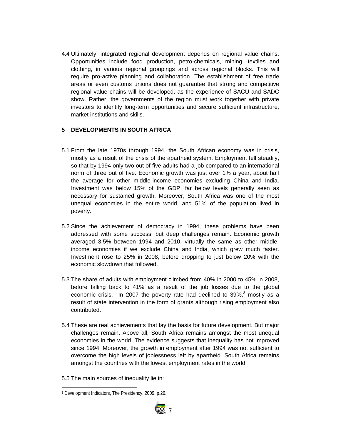4.4 Ultimately, integrated regional development depends on regional value chains. Opportunities include food production, petro-chemicals, mining, textiles and clothing, in various regional groupings and across regional blocks. This will require pro-active planning and collaboration. The establishment of free trade areas or even customs unions does not guarantee that strong and competitive regional value chains will be developed, as the experience of SACU and SADC show. Rather, the governments of the region must work together with private investors to identify long-term opportunities and secure sufficient infrastructure, market institutions and skills.

#### **5 DEVELOPMENTS IN SOUTH AFRICA**

- 5.1 From the late 1970s through 1994, the South African economy was in crisis, mostly as a result of the crisis of the apartheid system. Employment fell steadily, so that by 1994 only two out of five adults had a job compared to an international norm of three out of five. Economic growth was just over 1% a year, about half the average for other middle-income economies excluding China and India. Investment was below 15% of the GDP, far below levels generally seen as necessary for sustained growth. Moreover, South Africa was one of the most unequal economies in the entire world, and 51% of the population lived in poverty.
- 5.2 Since the achievement of democracy in 1994, these problems have been addressed with some success, but deep challenges remain. Economic growth averaged 3,5% between 1994 and 2010, virtually the same as other middleincome economies if we exclude China and India, which grew much faster. Investment rose to 25% in 2008, before dropping to just below 20% with the economic slowdown that followed.
- 5.3 The share of adults with employment climbed from 40% in 2000 to 45% in 2008, before falling back to 41% as a result of the job losses due to the global economic crisis. In 2007 the poverty rate had declined to  $39\%,^3$  mostly as a result of state intervention in the form of grants although rising employment also contributed.
- 5.4 These are real achievements that lay the basis for future development. But major challenges remain. Above all, South Africa remains amongst the most unequal economies in the world. The evidence suggests that inequality has not improved since 1994. Moreover, the growth in employment after 1994 was not sufficient to overcome the high levels of joblessness left by apartheid. South Africa remains amongst the countries with the lowest employment rates in the world.
- 5.5 The main sources of inequality lie in:

 3 Development Indicators, The Presidency, 2009, p.26.

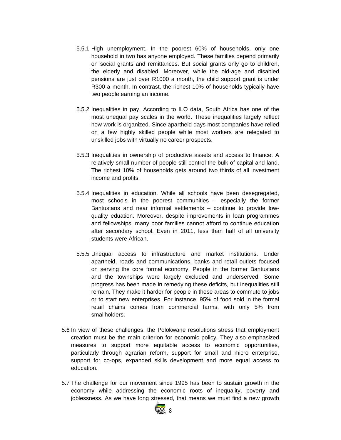- 5.5.1 High unemployment. In the poorest 60% of households, only one household in two has anyone employed. These families depend primarily on social grants and remittances. But social grants only go to children, the elderly and disabled. Moreover, while the old-age and disabled pensions are just over R1000 a month, the child support grant is under R300 a month. In contrast, the richest 10% of households typically have two people earning an income.
- 5.5.2 Inequalities in pay. According to ILO data, South Africa has one of the most unequal pay scales in the world. These inequalities largely reflect how work is organized. Since apartheid days most companies have relied on a few highly skilled people while most workers are relegated to unskilled jobs with virtually no career prospects.
- 5.5.3 Inequalities in ownership of productive assets and access to finance. A relatively small number of people still control the bulk of capital and land. The richest 10% of households gets around two thirds of all investment income and profits.
- 5.5.4 Inequalities in education. While all schools have been desegregated, most schools in the poorest communities – especially the former Bantustans and near informal settlements – continue to provide lowquality eduation. Moreover, despite improvements in loan programmes and fellowships, many poor families cannot afford to continue education after secondary school. Even in 2011, less than half of all university students were African.
- 5.5.5 Unequal access to infrastructure and market institutions. Under apartheid, roads and communications, banks and retail outlets focused on serving the core formal economy. People in the former Bantustans and the townships were largely excluded and underserved. Some progress has been made in remedying these deficits, but inequalities still remain. They make it harder for people in these areas to commute to jobs or to start new enterprises. For instance, 95% of food sold in the formal retail chains comes from commercial farms, with only 5% from smallholders.
- 5.6 In view of these challenges, the Polokwane resolutions stress that employment creation must be the main criterion for economic policy. They also emphasized measures to support more equitable access to economic opportunities, particularly through agrarian reform, support for small and micro enterprise, support for co-ops, expanded skills development and more equal access to education.
- 5.7 The challenge for our movement since 1995 has been to sustain growth in the economy while addressing the economic roots of inequality, poverty and joblessness. As we have long stressed, that means we must find a new growth

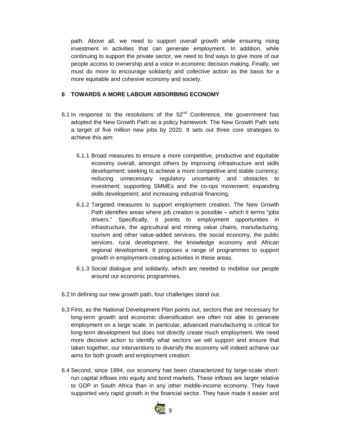path. Above all, we need to support overall growth while ensuring rising investment in activities that can generate employment. In addition, while continuing to support the private sector, we need to find ways to give more of our people access to ownership and a voice in economic decision making. Finally, we must do more to encourage solidarity and collective action as the basis for a more equitable and cohesive economy and society.

#### **6 TOWARDS A MORE LABOUR ABSORBING ECONOMY**

- 6.1 In response to the resolutions of the  $52<sup>nd</sup>$  Conference, the government has adopted the New Growth Path as a policy framework. The New Growth Path sets a target of five million new jobs by 2020. It sets out three core strategies to achieve this aim:
	- 6.1.1 Broad measures to ensure a more competitive, productive and equitable economy overall, amongst others by improving infrastructure and skills development; seeking to achieve a more competitive and stable currency; reducing unnecessary regulatory uncertainty and obstacles to investment; supporting SMMEs and the co-ops movement; expanding skills development; and increasing industrial financing.
	- 6.1.2 Targeted measures to support employment creation. The New Growth Path identifies areas where job creation is possible – which it terms "jobs drivers." Specifically, it points to employment opportunities in infrastructure, the agricultural and mining value chains, manufacturing, tourism and other value-added services, the social economy, the public services, rural development, the knowledge economy and African regional development. It proposes a range of programmes to support growth in employment-creating activities in these areas.
	- 6.1.3 Social dialogue and solidarity, which are needed to mobilise our people around our economic programmes.
- 6.2 In defining our new growth path, four challenges stand out.
- 6.3 First, as the National Development Plan points out, sectors that are necessary for long-term growth and economic diversification are often not able to generate employment on a large scale. In particular, advanced manufacturing is critical for long-term development but does not directly create much employment. We need more decisive action to identify what sectors we will support and ensure that taken together, our interventions to diversify the economy will indeed achieve our aims for both growth and employment creation.
- 6.4 Second, since 1994, our economy has been characterized by large-scale shortrun capital inflows into equity and bond markets. These inflows are larger relative to GDP in South Africa than in any other middle-income economy. They have supported very rapid growth in the financial sector. They have made it easier and

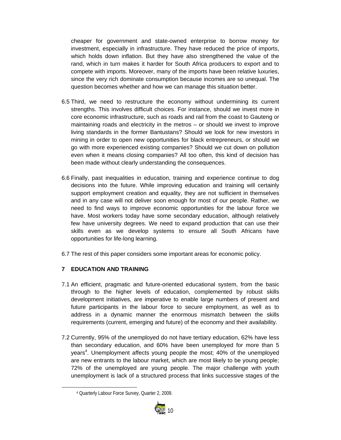cheaper for government and state-owned enterprise to borrow money for investment, especially in infrastructure. They have reduced the price of imports, which holds down inflation. But they have also strengthened the value of the rand, which in turn makes it harder for South Africa producers to export and to compete with imports. Moreover, many of the imports have been relative luxuries, since the very rich dominate consumption because incomes are so unequal. The question becomes whether and how we can manage this situation better.

- 6.5 Third, we need to restructure the economy without undermining its current strengths. This involves difficult choices. For instance, should we invest more in core economic infrastructure, such as roads and rail from the coast to Gauteng or maintaining roads and electricity in the metros – or should we invest to improve living standards in the former Bantustans? Should we look for new investors in mining in order to open new opportunities for black entrepreneurs, or should we go with more experienced existing companies? Should we cut down on pollution even when it means closing companies? All too often, this kind of decision has been made without clearly understanding the consequences.
- 6.6 Finally, past inequalities in education, training and experience continue to dog decisions into the future. While improving education and training will certainly support employment creation and equality, they are not sufficient in themselves and in any case will not deliver soon enough for most of our people. Rather, we need to find ways to improve economic opportunities for the labour force we have. Most workers today have some secondary education, although relatively few have university degrees. We need to expand production that can use their skills even as we develop systems to ensure all South Africans have opportunities for life-long learning.
- 6.7 The rest of this paper considers some important areas for economic policy.

#### **7 EDUCATION AND TRAINING**

- 7.1 An efficient, pragmatic and future-oriented educational system, from the basic through to the higher levels of education, complemented by robust skills development initiatives, are imperative to enable large numbers of present and future participants in the labour force to secure employment, as well as to address in a dynamic manner the enormous mismatch between the skills requirements (current, emerging and future) of the economy and their availability.
- 7.2 Currently, 95% of the unemployed do not have tertiary education, 62% have less than secondary education, and 60% have been unemployed for more than 5 years<sup>4</sup>. Unemployment affects young people the most; 40% of the unemployed are new entrants to the labour market, which are most likely to be young people; 72% of the unemployed are young people. The major challenge with youth unemployment is lack of a structured process that links successive stages of the

 4 Quarterly Labour Force Survey, Quarter 2, 2009.

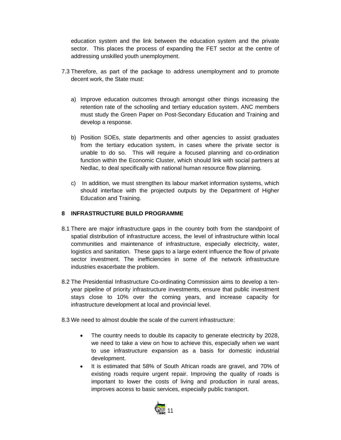education system and the link between the education system and the private sector. This places the process of expanding the FET sector at the centre of addressing unskilled youth unemployment.

- 7.3 Therefore, as part of the package to address unemployment and to promote decent work, the State must:
	- a) Improve education outcomes through amongst other things increasing the retention rate of the schooling and tertiary education system. ANC members must study the Green Paper on Post-Secondary Education and Training and develop a response.
	- b) Position SOEs, state departments and other agencies to assist graduates from the tertiary education system, in cases where the private sector is unable to do so. This will require a focused planning and co-ordination function within the Economic Cluster, which should link with social partners at Nedlac, to deal specifically with national human resource flow planning.
	- c) In addition, we must strengthen its labour market information systems, which should interface with the projected outputs by the Department of Higher Education and Training.

#### **8 INFRASTRUCTURE BUILD PROGRAMME**

- 8.1 There are major infrastructure gaps in the country both from the standpoint of spatial distribution of infrastructure access, the level of infrastructure within local communities and maintenance of infrastructure, especially electricity, water, logistics and sanitation. These gaps to a large extent influence the flow of private sector investment. The inefficiencies in some of the network infrastructure industries exacerbate the problem.
- 8.2 The Presidential Infrastructure Co-ordinating Commission aims to develop a tenyear pipeline of priority infrastructure investments, ensure that public investment stays close to 10% over the coming years, and increase capacity for infrastructure development at local and provincial level.
- 8.3 We need to almost double the scale of the current infrastructure:
	- The country needs to double its capacity to generate electricity by 2028, we need to take a view on how to achieve this, especially when we want to use infrastructure expansion as a basis for domestic industrial development.
	- It is estimated that 58% of South African roads are gravel, and 70% of existing roads require urgent repair. Improving the quality of roads is important to lower the costs of living and production in rural areas, improves access to basic services, especially public transport.

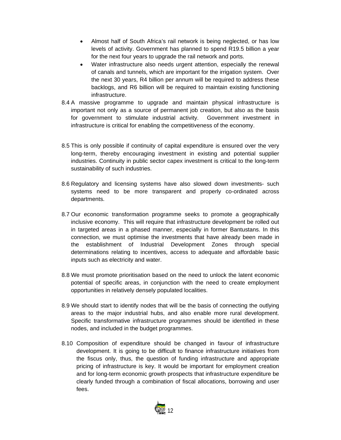- Almost half of South Africa's rail network is being neglected, or has low levels of activity. Government has planned to spend R19.5 billion a year for the next four years to upgrade the rail network and ports.
- Water infrastructure also needs urgent attention, especially the renewal of canals and tunnels, which are important for the irrigation system. Over the next 30 years, R4 billion per annum will be required to address these backlogs, and R6 billion will be required to maintain existing functioning infrastructure.
- 8.4 A massive programme to upgrade and maintain physical infrastructure is important not only as a source of permanent job creation, but also as the basis for government to stimulate industrial activity. Government investment in infrastructure is critical for enabling the competitiveness of the economy.
- 8.5 This is only possible if continuity of capital expenditure is ensured over the very long-term, thereby encouraging investment in existing and potential supplier industries. Continuity in public sector capex investment is critical to the long-term sustainability of such industries.
- 8.6 Regulatory and licensing systems have also slowed down investments- such systems need to be more transparent and properly co-ordinated across departments.
- 8.7 Our economic transformation programme seeks to promote a geographically inclusive economy. This will require that infrastructure development be rolled out in targeted areas in a phased manner, especially in former Bantustans. In this connection, we must optimise the investments that have already been made in the establishment of Industrial Development Zones through special determinations relating to incentives, access to adequate and affordable basic inputs such as electricity and water.
- 8.8 We must promote prioritisation based on the need to unlock the latent economic potential of specific areas, in conjunction with the need to create employment opportunities in relatively densely populated localities.
- 8.9 We should start to identify nodes that will be the basis of connecting the outlying areas to the major industrial hubs, and also enable more rural development. Specific transformative infrastructure programmes should be identified in these nodes, and included in the budget programmes.
- 8.10 Composition of expenditure should be changed in favour of infrastructure development. It is going to be difficult to finance infrastructure initiatives from the fiscus only, thus, the question of funding infrastructure and appropriate pricing of infrastructure is key. It would be important for employment creation and for long-term economic growth prospects that infrastructure expenditure be clearly funded through a combination of fiscal allocations, borrowing and user fees.

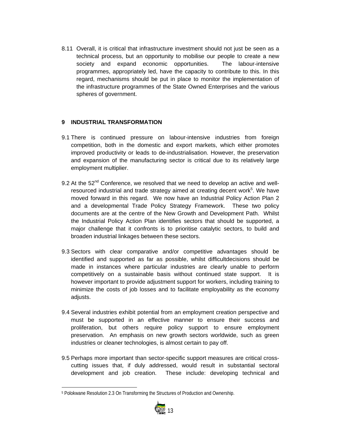8.11 Overall, it is critical that infrastructure investment should not just be seen as a technical process, but an opportunity to mobilise our people to create a new society and expand economic opportunities. The labour-intensive programmes, appropriately led, have the capacity to contribute to this. In this regard, mechanisms should be put in place to monitor the implementation of the infrastructure programmes of the State Owned Enterprises and the various spheres of government.

#### **9 INDUSTRIAL TRANSFORMATION**

- 9.1 There is continued pressure on labour-intensive industries from foreign competition, both in the domestic and export markets, which either promotes improved productivity or leads to de-industrialisation. However, the preservation and expansion of the manufacturing sector is critical due to its relatively large employment multiplier.
- 9.2 At the  $52<sup>nd</sup>$  Conference, we resolved that we need to develop an active and wellresourced industrial and trade strategy aimed at creating decent work<sup>5</sup>. We have moved forward in this regard. We now have an Industrial Policy Action Plan 2 and a developmental Trade Policy Strategy Framework. These two policy documents are at the centre of the New Growth and Development Path. Whilst the Industrial Policy Action Plan identifies sectors that should be supported, a major challenge that it confronts is to prioritise catalytic sectors, to build and broaden industrial linkages between these sectors.
- 9.3 Sectors with clear comparative and/or competitive advantages should be identified and supported as far as possible, whilst difficultdecisions should be made in instances where particular industries are clearly unable to perform competitively on a sustainable basis without continued state support. It is however important to provide adjustment support for workers, including training to minimize the costs of job losses and to facilitate employability as the economy adjusts.
- 9.4 Several industries exhibit potential from an employment creation perspective and must be supported in an effective manner to ensure their success and proliferation, but others require policy support to ensure employment preservation. An emphasis on new growth sectors worldwide, such as green industries or cleaner technologies, is almost certain to pay off.
- 9.5 Perhaps more important than sector-specific support measures are critical crosscutting issues that, if duly addressed, would result in substantial sectoral development and job creation. These include: developing technical and

 5 Polokwane Resolution 2.3 On Transforming the Structures of Production and Ownership.

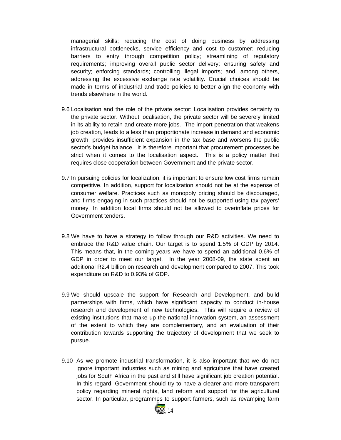managerial skills; reducing the cost of doing business by addressing infrastructural bottlenecks, service efficiency and cost to customer; reducing barriers to entry through competition policy; streamlining of regulatory requirements; improving overall public sector delivery; ensuring safety and security; enforcing standards; controlling illegal imports; and, among others, addressing the excessive exchange rate volatility. Crucial choices should be made in terms of industrial and trade policies to better align the economy with trends elsewhere in the world.

- 9.6 Localisation and the role of the private sector: Localisation provides certainty to the private sector. Without localisation, the private sector will be severely limited in its ability to retain and create more jobs. The import penetration that weakens job creation, leads to a less than proportionate increase in demand and economic growth, provides insufficient expansion in the tax base and worsens the public sector's budget balance. It is therefore important that procurement processes be strict when it comes to the localisation aspect. This is a policy matter that requires close cooperation between Government and the private sector.
- 9.7 In pursuing policies for localization, it is important to ensure low cost firms remain competitive. In addition, support for localization should not be at the expense of consumer welfare. Practices such as monopoly pricing should be discouraged, and firms engaging in such practices should not be supported using tax payers' money. In addition local firms should not be allowed to overinflate prices for Government tenders.
- 9.8 We have to have a strategy to follow through our R&D activities. We need to embrace the R&D value chain. Our target is to spend 1.5% of GDP by 2014. This means that, in the coming years we have to spend an additional 0.6% of GDP in order to meet our target. In the year 2008-09, the state spent an additional R2.4 billion on research and development compared to 2007. This took expenditure on R&D to 0.93% of GDP.
- 9.9 We should upscale the support for Research and Development, and build partnerships with firms, which have significant capacity to conduct in-house research and development of new technologies. This will require a review of existing institutions that make up the national innovation system, an assessment of the extent to which they are complementary, and an evaluation of their contribution towards supporting the trajectory of development that we seek to pursue.
- 9.10 As we promote industrial transformation, it is also important that we do not ignore important industries such as mining and agriculture that have created jobs for South Africa in the past and still have significant job creation potential. In this regard, Government should try to have a clearer and more transparent policy regarding mineral rights, land reform and support for the agricultural sector. In particular, programmes to support farmers, such as revamping farm

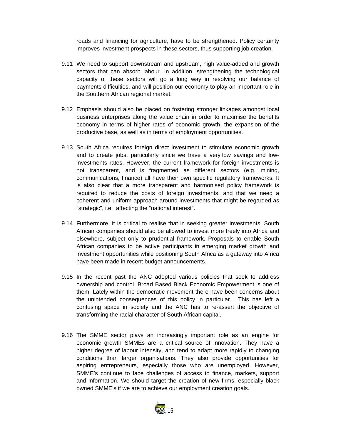roads and financing for agriculture, have to be strengthened. Policy certainty improves investment prospects in these sectors, thus supporting job creation.

- 9.11 We need to support downstream and upstream, high value-added and growth sectors that can absorb labour. In addition, strengthening the technological capacity of these sectors will go a long way in resolving our balance of payments difficulties, and will position our economy to play an important role in the Southern African regional market.
- 9.12 Emphasis should also be placed on fostering stronger linkages amongst local business enterprises along the value chain in order to maximise the benefits economy in terms of higher rates of economic growth, the expansion of the productive base, as well as in terms of employment opportunities.
- 9.13 South Africa requires foreign direct investment to stimulate economic growth and to create jobs, particularly since we have a very low savings and lowinvestments rates. However, the current framework for foreign investments is not transparent, and is fragmented as different sectors (e.g. mining, communications, finance) all have their own specific regulatory frameworks. It is also clear that a more transparent and harmonised policy framework is required to reduce the costs of foreign investments, and that we need a coherent and uniform approach around investments that might be regarded as "strategic", i.e. affecting the "national interest".
- 9.14 Furthermore, it is critical to realise that in seeking greater investments, South African companies should also be allowed to invest more freely into Africa and elsewhere, subject only to prudential framework. Proposals to enable South African companies to be active participants in emerging market growth and investment opportunities while positioning South Africa as a gateway into Africa have been made in recent budget announcements.
- 9.15 In the recent past the ANC adopted various policies that seek to address ownership and control. Broad Based Black Economic Empowerment is one of them. Lately within the democratic movement there have been concerns about the unintended consequences of this policy in particular. This has left a confusing space in society and the ANC has to re-assert the objective of transforming the racial character of South African capital.
- 9.16 The SMME sector plays an increasingly important role as an engine for economic growth SMMEs are a critical source of innovation. They have a higher degree of labour intensity, and tend to adapt more rapidly to changing conditions than larger organisations. They also provide opportunities for aspiring entrepreneurs, especially those who are unemployed. However, SMME's continue to face challenges of access to finance, markets, support and information. We should target the creation of new firms, especially black owned SMME's if we are to achieve our employment creation goals.

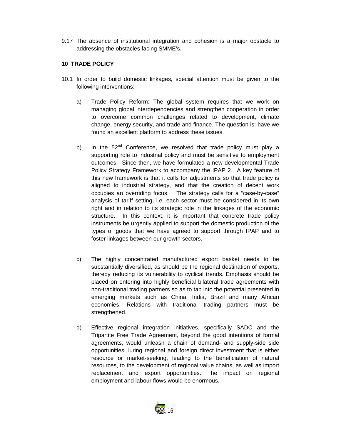9.17 The absence of institutional integration and cohesion is a major obstacle to addressing the obstacles facing SMME's.

#### **10 TRADE POLICY**

- 10.1 In order to build domestic linkages, special attention must be given to the following interventions:
	- a) Trade Policy Reform: The global system requires that we work on managing global interdependencies and strengthen cooperation in order to overcome common challenges related to development, climate change, energy security, and trade and finance. The question is: have we found an excellent platform to address these issues.
	- b) In the 52<sup>nd</sup> Conference, we resolved that trade policy must play a supporting role to industrial policy and must be sensitive to employment outcomes. Since then, we have formulated a new developmental Trade Policy Strategy Framework to accompany the IPAP 2. A key feature of this new framework is that it calls for adjustments so that trade policy is aligned to industrial strategy, and that the creation of decent work occupies an overriding focus. The strategy calls for a "case-by-case" analysis of tariff setting, i.e. each sector must be considered in its own right and in relation to its strategic role in the linkages of the economic structure. In this context, it is important that concrete trade policy instruments be urgently applied to support the domestic production of the types of goods that we have agreed to support through IPAP and to foster linkages between our growth sectors.
	- c) The highly concentrated manufactured export basket needs to be substantially diversified, as should be the regional destination of exports, thereby reducing its vulnerability to cyclical trends. Emphasis should be placed on entering into highly beneficial bilateral trade agreements with non-traditional trading partners so as to tap into the potential presented in emerging markets such as China, India, Brazil and many African economies. Relations with traditional trading partners must be strengthened.
	- d) Effective regional integration initiatives, specifically SADC and the Tripartite Free Trade Agreement, beyond the good intentions of formal agreements, would unleash a chain of demand- and supply-side side opportunities, luring regional and foreign direct investment that is either resource or market-seeking, leading to the beneficiation of natural resources, to the development of regional value chains, as well as import replacement and export opportunities. The impact on regional employment and labour flows would be enormous.

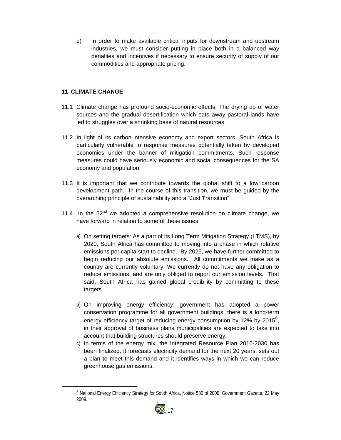e) In order to make available critical inputs for downstream and upstream industries, we must consider putting in place both in a balanced way penalties and incentives if necessary to ensure security of supply of our commodities and appropriate pricing.

#### **11 CLIMATE CHANGE**

- 11.1 Climate change has profound socio-economic effects. The drying up of water sources and the gradual desertification which eats away pastoral lands have led to struggles over a shrinking base of natural resources
- 11.2 In light of its carbon-intensive economy and export sectors, South Africa is particularly vulnerable to response measures potentially taken by developed economies under the banner of mitigation commitments. Such response measures could have seriously economic and social consequences for the SA economy and population.
- 11.3 It is important that we contribute towards the global shift to a low carbon development path. In the course of this transition, we must be guided by the overarching principle of sustainability and a "Just Transition".
- 11.4 In the  $52<sup>nd</sup>$  we adopted a comprehensive resolution on climate change, we have forward in relation to some of these issues:
	- a) On setting targets: As a part of its Long Term Mitigation Strategy (LTMS), by 2020, South Africa has committed to moving into a phase in which relative emissions per capita start to decline. By 2025, we have further committed to begin reducing our absolute emissions. All commitments we make as a country are currently voluntary. We currently do not have any obligation to reduce emissions, and are only obliged to report our emission levels. That said, South Africa has gained global credibility by committing to these targets.
	- b) On improving energy efficiency: government has adopted a power conservation programme for all government buildings, there is a long-term energy efficiency target of reducing energy consumption by 12% by 2015<sup>6</sup>, in their approval of business plans municipalities are expected to take into account that building structures should preserve energy.
	- c) In terms of the energy mix, the Integrated Resource Plan 2010-2030 has been finalized. It forecasts electricity demand for the next 20 years, sets out a plan to meet this demand and it identifies ways in which we can reduce greenhouse gas emissions.

<sup>6</sup> National Energy Efficiency Strategy for South Africa, Notice 580 of 2009, Government Gazette, 22 May 2009.

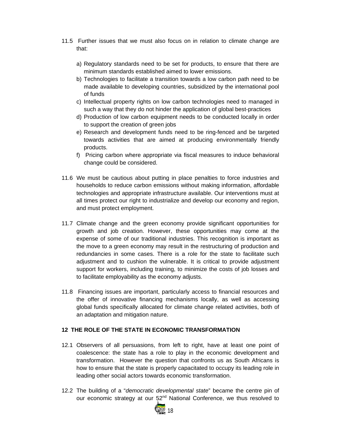- 11.5 Further issues that we must also focus on in relation to climate change are that:
	- a) Regulatory standards need to be set for products, to ensure that there are minimum standards established aimed to lower emissions.
	- b) Technologies to facilitate a transition towards a low carbon path need to be made available to developing countries, subsidized by the international pool of funds
	- c) Intellectual property rights on low carbon technologies need to managed in such a way that they do not hinder the application of global best-practices
	- d) Production of low carbon equipment needs to be conducted locally in order to support the creation of green jobs
	- e) Research and development funds need to be ring-fenced and be targeted towards activities that are aimed at producing environmentally friendly products.
	- f) Pricing carbon where appropriate via fiscal measures to induce behavioral change could be considered.
- 11.6 We must be cautious about putting in place penalties to force industries and households to reduce carbon emissions without making information, affordable technologies and appropriate infrastructure available. Our interventions must at all times protect our right to industrialize and develop our economy and region, and must protect employment.
- 11.7 Climate change and the green economy provide significant opportunities for growth and job creation. However, these opportunities may come at the expense of some of our traditional industries. This recognition is important as the move to a green economy may result in the restructuring of production and redundancies in some cases. There is a role for the state to facilitate such adjustment and to cushion the vulnerable. It is critical to provide adjustment support for workers, including training, to minimize the costs of job losses and to facilitate employability as the economy adjusts.
- 11.8 Financing issues are important, particularly access to financial resources and the offer of innovative financing mechanisms locally, as well as accessing global funds specifically allocated for climate change related activities, both of an adaptation and mitigation nature.

#### **12 THE ROLE OF THE STATE IN ECONOMIC TRANSFORMATION**

- 12.1 Observers of all persuasions, from left to right, have at least one point of coalescence: the state has a role to play in the economic development and transformation. However the question that confronts us as South Africans is how to ensure that the state is properly capacitated to occupy its leading role in leading other social actors towards economic transformation.
- 12.2 The building of a "*democratic developmental state*" became the centre pin of our economic strategy at our 52<sup>nd</sup> National Conference, we thus resolved to

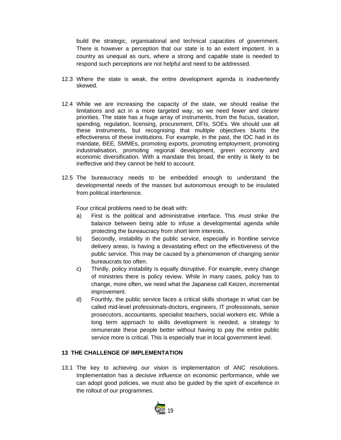build the strategic, organisational and technical capacities of government. There is however a perception that our state is to an extent impotent. In a country as unequal as ours, where a strong and capable state is needed to respond such perceptions are not helpful and need to be addressed.

- 12.3 Where the state is weak, the entire development agenda is inadvertently skewed.
- 12.4 While we are increasing the capacity of the state, we should realise the limitations and act in a more targeted way, so we need fewer and clearer priorities. The state has a huge array of instruments, from the fiscus, taxation, spending, regulation, licensing, procurement, DFIs, SOEs. We should use all these instruments, but recognising that multiple objectives blunts the effectiveness of these institutions. For example, in the past, the IDC had in its mandate, BEE, SMMEs, promoting exports, promoting employment, promoting industrialisation, promoting regional development, green economy and economic diversification. With a mandate this broad, the entity is likely to be ineffective and they cannot be held to account.
- 12.5 The bureaucracy needs to be embedded enough to understand the developmental needs of the masses but autonomous enough to be insulated from political interference.

Four critical problems need to be dealt with:

- a) First is the political and administrative interface. This must strike the balance between being able to infuse a developmental agenda while protecting the bureaucracy from short term interests.
- b) Secondly, instability in the public service, especially in frontline service delivery areas, is having a devastating effect on the effectiveness of the public service. This may be caused by a phenomenon of changing senior bureaucrats too often.
- c) Thirdly, policy instability is equally disruptive. For example, every change of ministries there is policy review. While in many cases, policy has to change, more often, we need what the Japanese call Keizen, incremental improvement.
- d) Fourthly, the public service faces a critical skills shortage in what can be called mid-level professionals-doctors, engineers, IT professionals, senior prosecutors, accountants, specialist teachers, social workers etc. While a long term approach to skills development is needed, a strategy to remunerate these people better without having to pay the entire public service more is critical. This is especially true in local government level.

#### **13 THE CHALLENGE OF IMPLEMENTATION**

13.1 The key to achieving our vision is implementation of ANC resolutions. Implementation has a decisive influence on economic performance, while we can adopt good policies, we must also be guided by the spirit of excellence in the rollout of our programmes.

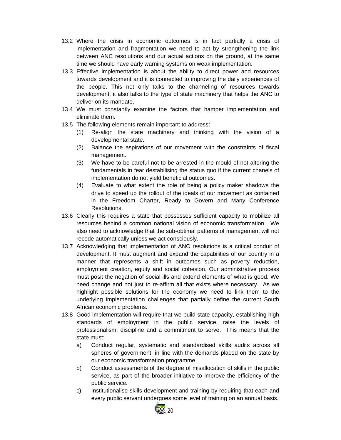- 13.2 Where the crisis in economic outcomes is in fact partially a crisis of implementation and fragmentation we need to act by strengthening the link between ANC resolutions and our actual actions on the ground, at the same time we should have early warning systems on weak implementation.
- 13.3 Effective implementation is about the ability to direct power and resources towards development and it is connected to improving the daily experiences of the people. This not only talks to the channeling of resources towards development, it also talks to the type of state machinery that helps the ANC to deliver on its mandate.
- 13.4 We must constantly examine the factors that hamper implementation and eliminate them.
- 13.5 The following elements remain important to address:
	- (1) Re-align the state machinery and thinking with the vision of a developmental state.
	- (2) Balance the aspirations of our movement with the constraints of fiscal management.
	- (3) We have to be careful not to be arrested in the mould of not altering the fundamentals in fear destabilising the status quo if the current chanels of implementation do not yield beneficial outcomes.
	- (4) Evaluate to what extent the role of being a policy maker shadows the drive to speed up the rollout of the ideals of our movement as contained in the Freedom Charter, Ready to Govern and Many Conference Resolutions.
- 13.6 Clearly this requires a state that possesses sufficient capacity to mobilize all resources behind a common national vision of economic transformation. We also need to acknowledge that the sub-obtimal patterns of management will not recede automatically unless we act consciously.
- 13.7 Acknowledging that implementation of ANC resolutions is a critical conduit of development. It must augment and expand the capabilities of our country in a manner that represents a shift in outcomes such as poverty reduction, employment creation, equity and social cohesion. Our administrative process must posit the negation of social ills and extend elements of what is good. We need change and not just to re-affirm all that exists where necessary. As we highlight possible solutions for the economy we need to link them to the underlying implementation challenges that partially define the current South African economic problems.
- 13.8 Good implementation will require that we build state capacity, establishing high standards of employment in the public service, raise the levels of professionalism, discipline and a commitment to serve. This means that the state must:
	- a) Conduct regular, systematic and standardised skills audits across all spheres of government, in line with the demands placed on the state by our economic transformation programme.
	- b) Conduct assessments of the degree of misallocation of skills in the public service, as part of the broader initiative to improve the efficiency of the public service.
	- c) Institutionalise skills development and training by requiring that each and every public servant undergoes some level of training on an annual basis.

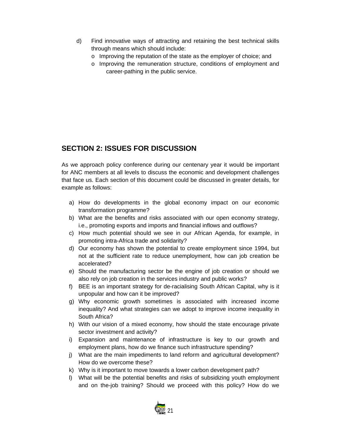- d) Find innovative ways of attracting and retaining the best technical skills through means which should include:
	- o Improving the reputation of the state as the employer of choice; and
	- o Improving the remuneration structure, conditions of employment and career-pathing in the public service.

### **SECTION 2: ISSUES FOR DISCUSSION**

As we approach policy conference during our centenary year it would be important for ANC members at all levels to discuss the economic and development challenges that face us. Each section of this document could be discussed in greater details, for example as follows:

- a) How do developments in the global economy impact on our economic transformation programme?
- b) What are the benefits and risks associated with our open economy strategy, i.e., promoting exports and imports and financial inflows and outflows?
- c) How much potential should we see in our African Agenda, for example, in promoting intra-Africa trade and solidarity?
- d) Our economy has shown the potential to create employment since 1994, but not at the sufficient rate to reduce unemployment, how can job creation be accelerated?
- e) Should the manufacturing sector be the engine of job creation or should we also rely on job creation in the services industry and public works?
- f) BEE is an important strategy for de-racialising South African Capital, why is it unpopular and how can it be improved?
- g) Why economic growth sometimes is associated with increased income inequality? And what strategies can we adopt to improve income inequality in South Africa?
- h) With our vision of a mixed economy, how should the state encourage private sector investment and activity?
- i) Expansion and maintenance of infrastructure is key to our growth and employment plans, how do we finance such infrastructure spending?
- j) What are the main impediments to land reform and agricultural development? How do we overcome these?
- k) Why is it important to move towards a lower carbon development path?
- l) What will be the potential benefits and risks of subsidizing youth employment and on the-job training? Should we proceed with this policy? How do we